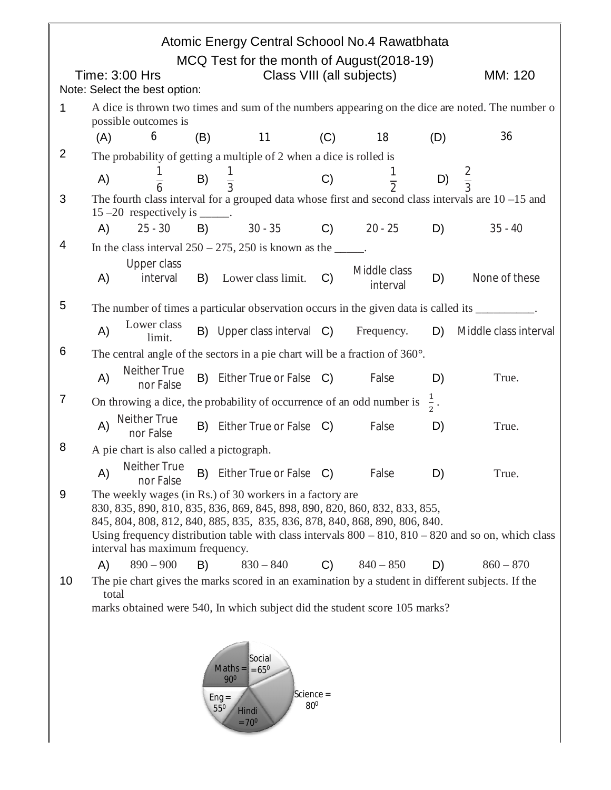| Atomic Energy Central Schoool No.4 Rawatbhata<br>MCQ Test for the month of August(2018-19) |                                                                                                                                                                                                                                                                                                                                                                                                                                                   |                                  |     |                                                                                                       |                |                          |                 |                                                                                                  |  |  |
|--------------------------------------------------------------------------------------------|---------------------------------------------------------------------------------------------------------------------------------------------------------------------------------------------------------------------------------------------------------------------------------------------------------------------------------------------------------------------------------------------------------------------------------------------------|----------------------------------|-----|-------------------------------------------------------------------------------------------------------|----------------|--------------------------|-----------------|--------------------------------------------------------------------------------------------------|--|--|
|                                                                                            | Class VIII (all subjects)<br>MM: 120<br>Time: 3:00 Hrs                                                                                                                                                                                                                                                                                                                                                                                            |                                  |     |                                                                                                       |                |                          |                 |                                                                                                  |  |  |
|                                                                                            | Note: Select the best option:                                                                                                                                                                                                                                                                                                                                                                                                                     |                                  |     |                                                                                                       |                |                          |                 |                                                                                                  |  |  |
| 1                                                                                          | possible outcomes is                                                                                                                                                                                                                                                                                                                                                                                                                              |                                  |     |                                                                                                       |                |                          |                 | A dice is thrown two times and sum of the numbers appearing on the dice are noted. The number of |  |  |
|                                                                                            | (A)                                                                                                                                                                                                                                                                                                                                                                                                                                               | 6                                | (B) | 11                                                                                                    | (C)            | 18                       | (D)             | 36                                                                                               |  |  |
| $\overline{2}$                                                                             |                                                                                                                                                                                                                                                                                                                                                                                                                                                   |                                  |     | The probability of getting a multiple of 2 when a dice is rolled is                                   |                |                          |                 |                                                                                                  |  |  |
|                                                                                            | A)                                                                                                                                                                                                                                                                                                                                                                                                                                                | $\overline{6}$                   | B)  | $\frac{1}{3}$                                                                                         | C)             |                          |                 | D) $\frac{2}{3}$                                                                                 |  |  |
| 3                                                                                          | $15 - 20$ respectively is ______.                                                                                                                                                                                                                                                                                                                                                                                                                 |                                  |     | The fourth class interval for a grouped data whose first and second class intervals are $10 - 15$ and |                |                          |                 |                                                                                                  |  |  |
|                                                                                            | A)                                                                                                                                                                                                                                                                                                                                                                                                                                                | $25 - 30$                        | B)  | $30 - 35$                                                                                             | $\mathsf{C}$ ) | $20 - 25$                | D)              | $35 - 40$                                                                                        |  |  |
| 4                                                                                          |                                                                                                                                                                                                                                                                                                                                                                                                                                                   |                                  |     | In the class interval $250 - 275$ , 250 is known as the _____.                                        |                |                          |                 |                                                                                                  |  |  |
|                                                                                            | A)                                                                                                                                                                                                                                                                                                                                                                                                                                                | <b>Upper class</b><br>interval   |     | B) Lower class limit.                                                                                 | C)             | Middle class<br>interval | D)              | None of these                                                                                    |  |  |
| 5                                                                                          | The number of times a particular observation occurs in the given data is called its _________.                                                                                                                                                                                                                                                                                                                                                    |                                  |     |                                                                                                       |                |                          |                 |                                                                                                  |  |  |
|                                                                                            | Lower class<br>A)<br>B) Upper class interval C)<br>Frequency.<br>D)<br>Middle class interval<br>limit.                                                                                                                                                                                                                                                                                                                                            |                                  |     |                                                                                                       |                |                          |                 |                                                                                                  |  |  |
| 6                                                                                          | The central angle of the sectors in a pie chart will be a fraction of $360^\circ$ .                                                                                                                                                                                                                                                                                                                                                               |                                  |     |                                                                                                       |                |                          |                 |                                                                                                  |  |  |
|                                                                                            | A)                                                                                                                                                                                                                                                                                                                                                                                                                                                | <b>Neither True</b><br>nor False |     | B) Either True or False C)                                                                            |                | False                    | D)              | True.                                                                                            |  |  |
| $\overline{7}$                                                                             |                                                                                                                                                                                                                                                                                                                                                                                                                                                   |                                  |     | On throwing a dice, the probability of occurrence of an odd number is                                 |                |                          | $\frac{1}{2}$ . |                                                                                                  |  |  |
|                                                                                            | A)                                                                                                                                                                                                                                                                                                                                                                                                                                                | Neither True<br>nor False        |     | B) Either True or False C)                                                                            |                | False                    | D)              | True.                                                                                            |  |  |
| 8                                                                                          |                                                                                                                                                                                                                                                                                                                                                                                                                                                   |                                  |     | A pie chart is also called a pictograph.                                                              |                |                          |                 |                                                                                                  |  |  |
|                                                                                            | A)                                                                                                                                                                                                                                                                                                                                                                                                                                                | <b>Neither True</b><br>nor False |     | B) Either True or False C) False                                                                      |                |                          | D)              | True.                                                                                            |  |  |
| 9                                                                                          | The weekly wages (in Rs.) of 30 workers in a factory are<br>830, 835, 890, 810, 835, 836, 869, 845, 898, 890, 820, 860, 832, 833, 855,<br>845, 804, 808, 812, 840, 885, 835, 835, 836, 878, 840, 868, 890, 806, 840.<br>Using frequency distribution table with class intervals $800 - 810$ , $810 - 820$ and so on, which class<br>interval has maximum frequency.<br>$830 - 840$ C) $840 - 850$<br>$890 - 900$<br>D)<br>B)<br>$860 - 870$<br>A) |                                  |     |                                                                                                       |                |                          |                 |                                                                                                  |  |  |
| 10                                                                                         |                                                                                                                                                                                                                                                                                                                                                                                                                                                   |                                  |     | The pie chart gives the marks scored in an examination by a student in different subjects. If the     |                |                          |                 |                                                                                                  |  |  |
|                                                                                            | total                                                                                                                                                                                                                                                                                                                                                                                                                                             |                                  |     | marks obtained were 540, In which subject did the student score 105 marks?                            |                |                          |                 |                                                                                                  |  |  |
|                                                                                            |                                                                                                                                                                                                                                                                                                                                                                                                                                                   |                                  |     |                                                                                                       |                |                          |                 |                                                                                                  |  |  |
|                                                                                            |                                                                                                                                                                                                                                                                                                                                                                                                                                                   |                                  |     |                                                                                                       |                |                          |                 |                                                                                                  |  |  |

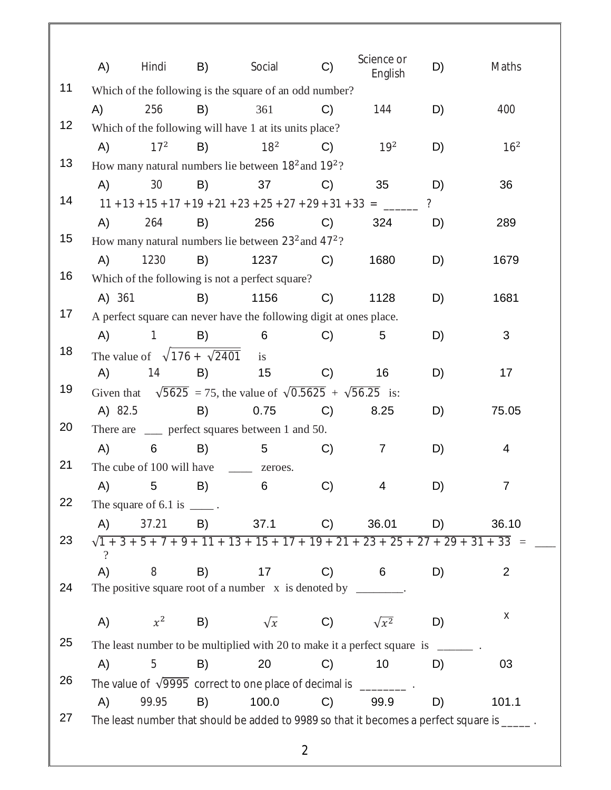|    | A)                                                                         | Hindi                                   | B) | Social                                                                                   | C)             | Science or<br>English | D)             | Maths                                                                                       |  |  |
|----|----------------------------------------------------------------------------|-----------------------------------------|----|------------------------------------------------------------------------------------------|----------------|-----------------------|----------------|---------------------------------------------------------------------------------------------|--|--|
| 11 |                                                                            |                                         |    | Which of the following is the square of an odd number?                                   |                |                       |                |                                                                                             |  |  |
|    | A)                                                                         | 256                                     | B) | 361                                                                                      | C)             | 144                   | D)             | 400                                                                                         |  |  |
| 12 |                                                                            |                                         |    | Which of the following will have 1 at its units place?                                   |                |                       |                |                                                                                             |  |  |
|    | A)                                                                         | 17 <sup>2</sup>                         | B) | 18 <sup>2</sup>                                                                          | $\mathcal{C}$  | $19^2$                | D)             | 16 <sup>2</sup>                                                                             |  |  |
| 13 | How many natural numbers lie between 18 <sup>2</sup> and 19 <sup>2</sup> ? |                                         |    |                                                                                          |                |                       |                |                                                                                             |  |  |
|    | A)                                                                         | 30                                      | B) | 37                                                                                       | C)             | 35                    | D)             | 36                                                                                          |  |  |
| 14 |                                                                            |                                         |    |                                                                                          |                |                       | $\overline{?}$ |                                                                                             |  |  |
|    | A)                                                                         | 264                                     | B) | 256                                                                                      | C)             | 324                   | D)             | 289                                                                                         |  |  |
| 15 |                                                                            |                                         |    | How many natural numbers lie between $23^2$ and $47^2$ ?                                 |                |                       |                |                                                                                             |  |  |
|    | A)                                                                         | 1230                                    | B) | 1237                                                                                     | C)             | 1680                  | D)             | 1679                                                                                        |  |  |
| 16 |                                                                            |                                         |    | Which of the following is not a perfect square?                                          |                |                       |                |                                                                                             |  |  |
|    | A) 361                                                                     |                                         | B) | 1156                                                                                     | C)             | 1128                  | D)             | 1681                                                                                        |  |  |
| 17 |                                                                            |                                         |    | A perfect square can never have the following digit at ones place.                       |                |                       |                |                                                                                             |  |  |
|    | A)                                                                         | $\mathbf{1}$                            | B) | 6                                                                                        | $\mathcal{C}$  | 5                     | D)             | 3                                                                                           |  |  |
| 18 |                                                                            | The value of $\sqrt{176 + \sqrt{2401}}$ |    | is                                                                                       |                |                       |                |                                                                                             |  |  |
|    | A)                                                                         | 14                                      | B) | 15                                                                                       | $\mathcal{C}$  | 16                    | D)             | 17                                                                                          |  |  |
| 19 |                                                                            |                                         |    | Given that $\sqrt{5625}$ = 75, the value of $\sqrt{0.5625}$ + $\sqrt{56.25}$ is:         |                |                       |                |                                                                                             |  |  |
|    | A) 82.5                                                                    |                                         | B) | 0.75                                                                                     | C)             | 8.25                  | D)             | 75.05                                                                                       |  |  |
| 20 | There are ____ perfect squares between 1 and 50.                           |                                         |    |                                                                                          |                |                       |                |                                                                                             |  |  |
|    | A)                                                                         | 6                                       | B) | 5                                                                                        | C)             | $\overline{7}$        | D)             | 4                                                                                           |  |  |
| 21 |                                                                            | The cube of 100 will have _______       |    | zeroes.                                                                                  |                |                       |                |                                                                                             |  |  |
|    | A)                                                                         | 5                                       | B) | 6                                                                                        | C)             | 4                     | D)             | $\overline{7}$                                                                              |  |  |
| 22 |                                                                            | The square of $6.1$ is $\_\_\_\_\_\$ .  |    |                                                                                          |                |                       |                |                                                                                             |  |  |
|    | (A)                                                                        | 37.21                                   |    | B) 37.1 C)                                                                               |                | 36.01                 | D)             | 36.10                                                                                       |  |  |
| 23 | $\gamma$                                                                   |                                         |    | $\sqrt{1+3+5+7+9+11+13+15+17+19+21+23+25+27+29+31+33}$ =                                 |                |                       |                |                                                                                             |  |  |
|    | A)                                                                         | 8                                       | B) | 17                                                                                       | C)             | $\overline{6}$        | D)             | 2                                                                                           |  |  |
| 24 |                                                                            |                                         |    | The positive square root of a number $x$ is denoted by _______.                          |                |                       |                |                                                                                             |  |  |
|    |                                                                            |                                         |    |                                                                                          |                |                       |                |                                                                                             |  |  |
|    | A)                                                                         | $x^2$                                   |    | B) $\sqrt{x}$ C) $\sqrt{x^2}$                                                            |                |                       | D)             | X                                                                                           |  |  |
| 25 |                                                                            |                                         |    | The least number to be multiplied with 20 to make it a perfect square is $\frac{ }{ }$ . |                |                       |                |                                                                                             |  |  |
|    | A)                                                                         | 5                                       | B) | 20                                                                                       | C)             | 10                    | D)             | 03                                                                                          |  |  |
| 26 |                                                                            |                                         |    | The value of $\sqrt{9995}$ correct to one place of decimal is _________.                 |                |                       |                |                                                                                             |  |  |
|    | A)                                                                         | 99.95                                   | B) | 100.0                                                                                    | C)             | 99.9                  | D)             | 101.1                                                                                       |  |  |
| 27 |                                                                            |                                         |    |                                                                                          |                |                       |                | The least number that should be added to 9989 so that it becomes a perfect square is _____. |  |  |
|    |                                                                            |                                         |    |                                                                                          | $\overline{2}$ |                       |                |                                                                                             |  |  |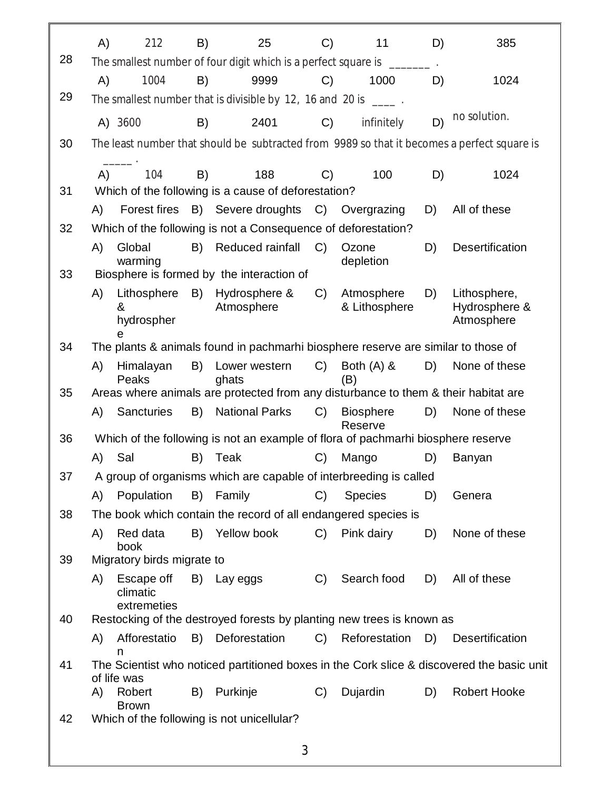|    | A)                                                                                     | 212                                   | B) | 25                                                                                                                                                                                                                                                                                                                                                                            | C)            | 11                          | D) | 385                                                                                       |  |  |  |
|----|----------------------------------------------------------------------------------------|---------------------------------------|----|-------------------------------------------------------------------------------------------------------------------------------------------------------------------------------------------------------------------------------------------------------------------------------------------------------------------------------------------------------------------------------|---------------|-----------------------------|----|-------------------------------------------------------------------------------------------|--|--|--|
| 28 |                                                                                        |                                       |    | The smallest number of four digit which is a perfect square is ______                                                                                                                                                                                                                                                                                                         |               |                             |    |                                                                                           |  |  |  |
|    | A)                                                                                     | 1004                                  | B) | 9999                                                                                                                                                                                                                                                                                                                                                                          | C)            | 1000                        | D) | 1024                                                                                      |  |  |  |
| 29 |                                                                                        |                                       |    | The smallest number that is divisible by 12, 16 and 20 is $\frac{1}{\sqrt{1-\frac{1}{\sqrt{1-\frac{1}{\sqrt{1-\frac{1}{\sqrt{1-\frac{1}{\sqrt{1-\frac{1}{\sqrt{1-\frac{1}{\sqrt{1-\frac{1}{\sqrt{1-\frac{1}{\sqrt{1-\frac{1}{\sqrt{1-\frac{1}{\sqrt{1-\frac{1}{\sqrt{1-\frac{1}{\sqrt{1-\frac{1}{\sqrt{1-\frac{1}{\sqrt{1-\frac{1}{\sqrt{1-\frac{1}{\sqrt{1-\frac{1}{\sqrt{1$ |               |                             |    |                                                                                           |  |  |  |
|    |                                                                                        | A) 3600                               | B) | 2401                                                                                                                                                                                                                                                                                                                                                                          | C)            | infinitely                  | D) | no solution.                                                                              |  |  |  |
| 30 |                                                                                        |                                       |    | The least number that should be subtracted from 9989 so that it becomes a perfect square is                                                                                                                                                                                                                                                                                   |               |                             |    |                                                                                           |  |  |  |
|    | A)                                                                                     | 104                                   | B) | 188                                                                                                                                                                                                                                                                                                                                                                           | C)            | 100                         | D) | 1024                                                                                      |  |  |  |
| 31 |                                                                                        |                                       |    | Which of the following is a cause of deforestation?                                                                                                                                                                                                                                                                                                                           |               |                             |    |                                                                                           |  |  |  |
|    | A)                                                                                     |                                       |    | Forest fires B) Severe droughts                                                                                                                                                                                                                                                                                                                                               |               | C) Overgrazing              | D) | All of these                                                                              |  |  |  |
| 32 |                                                                                        |                                       |    | Which of the following is not a Consequence of deforestation?                                                                                                                                                                                                                                                                                                                 |               |                             |    |                                                                                           |  |  |  |
|    | A)                                                                                     | Global<br>warming                     | B) | Reduced rainfall                                                                                                                                                                                                                                                                                                                                                              | C)            | Ozone<br>depletion          | D) | <b>Desertification</b>                                                                    |  |  |  |
| 33 |                                                                                        |                                       |    | Biosphere is formed by the interaction of                                                                                                                                                                                                                                                                                                                                     |               |                             |    |                                                                                           |  |  |  |
|    | A)                                                                                     | Lithosphere<br>&<br>hydrospher        | B) | Hydrosphere &<br>Atmosphere                                                                                                                                                                                                                                                                                                                                                   | $C$ )         | Atmosphere<br>& Lithosphere | D) | Lithosphere,<br>Hydrosphere &<br>Atmosphere                                               |  |  |  |
| 34 | e<br>The plants & animals found in pachmarhi biosphere reserve are similar to those of |                                       |    |                                                                                                                                                                                                                                                                                                                                                                               |               |                             |    |                                                                                           |  |  |  |
|    | A)                                                                                     | Himalayan                             | B) | Lower western                                                                                                                                                                                                                                                                                                                                                                 | $C$ )         | Both $(A)$ &                | D) | None of these                                                                             |  |  |  |
|    |                                                                                        | Peaks                                 |    | ghats                                                                                                                                                                                                                                                                                                                                                                         |               | (B)                         |    |                                                                                           |  |  |  |
| 35 |                                                                                        |                                       |    | Areas where animals are protected from any disturbance to them & their habitat are                                                                                                                                                                                                                                                                                            |               |                             |    |                                                                                           |  |  |  |
|    | A)                                                                                     | <b>Sancturies</b>                     | B) | <b>National Parks</b>                                                                                                                                                                                                                                                                                                                                                         | C)            | <b>Biosphere</b><br>Reserve | D) | None of these                                                                             |  |  |  |
| 36 |                                                                                        |                                       |    | Which of the following is not an example of flora of pachmarhi biosphere reserve                                                                                                                                                                                                                                                                                              |               |                             |    |                                                                                           |  |  |  |
|    | A)                                                                                     | Sal                                   | B) | Teak                                                                                                                                                                                                                                                                                                                                                                          | $\mathcal{C}$ | Mango                       | D) | Banyan                                                                                    |  |  |  |
| 37 |                                                                                        |                                       |    | A group of organisms which are capable of interbreeding is called                                                                                                                                                                                                                                                                                                             |               |                             |    |                                                                                           |  |  |  |
|    | A)                                                                                     | Population                            |    | B) Family                                                                                                                                                                                                                                                                                                                                                                     | C)            | <b>Species</b>              | D) | Genera                                                                                    |  |  |  |
| 38 |                                                                                        |                                       |    | The book which contain the record of all endangered species is                                                                                                                                                                                                                                                                                                                |               |                             |    |                                                                                           |  |  |  |
|    | A)                                                                                     | Red data<br>book                      |    | B) Yellow book                                                                                                                                                                                                                                                                                                                                                                |               | C) Pink dairy               | D) | None of these                                                                             |  |  |  |
| 39 |                                                                                        | Migratory birds migrate to            |    |                                                                                                                                                                                                                                                                                                                                                                               |               |                             |    |                                                                                           |  |  |  |
|    | A)                                                                                     | Escape off<br>climatic<br>extremeties |    | B) Lay eggs                                                                                                                                                                                                                                                                                                                                                                   | C)            | Search food                 | D) | All of these                                                                              |  |  |  |
| 40 |                                                                                        |                                       |    | Restocking of the destroyed forests by planting new trees is known as                                                                                                                                                                                                                                                                                                         |               |                             |    |                                                                                           |  |  |  |
|    | A)                                                                                     | Afforestatio                          |    | B) Deforestation                                                                                                                                                                                                                                                                                                                                                              |               | C) Reforestation D)         |    | <b>Desertification</b>                                                                    |  |  |  |
| 41 |                                                                                        | n<br>of life was                      |    |                                                                                                                                                                                                                                                                                                                                                                               |               |                             |    | The Scientist who noticed partitioned boxes in the Cork slice & discovered the basic unit |  |  |  |
|    | A)                                                                                     | Robert<br><b>Brown</b>                | B) | Purkinje                                                                                                                                                                                                                                                                                                                                                                      | C)            | Dujardin                    | D) | <b>Robert Hooke</b>                                                                       |  |  |  |
| 42 |                                                                                        |                                       |    | Which of the following is not unicellular?                                                                                                                                                                                                                                                                                                                                    |               |                             |    |                                                                                           |  |  |  |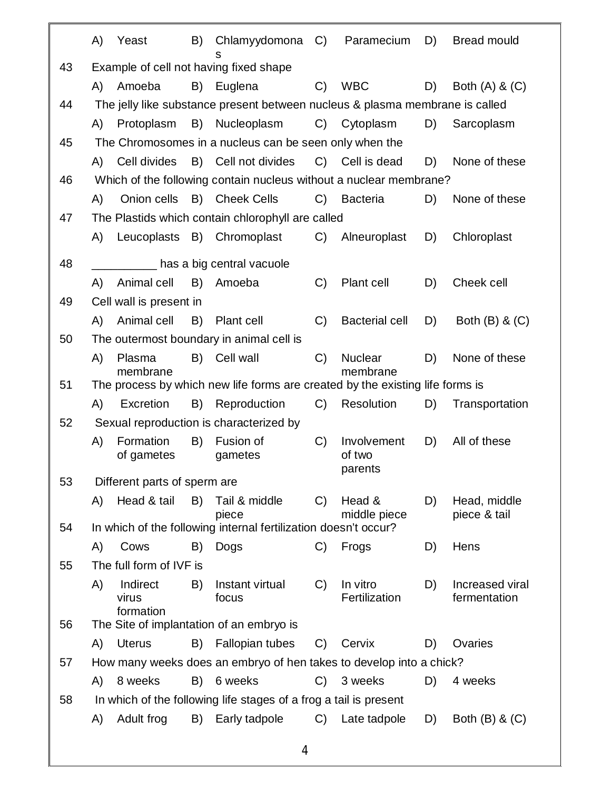|    | A)                                                                                                    | Yeast                        | B) | Chlamyydomona                                                                | $C$ )         | Paramecium            | D) | <b>Bread mould</b> |  |  |
|----|-------------------------------------------------------------------------------------------------------|------------------------------|----|------------------------------------------------------------------------------|---------------|-----------------------|----|--------------------|--|--|
| 43 |                                                                                                       |                              |    | s<br>Example of cell not having fixed shape                                  |               |                       |    |                    |  |  |
|    | A)                                                                                                    | Amoeba                       | B) | Euglena                                                                      | $\mathcal{C}$ | <b>WBC</b>            | D) | Both $(A)$ & $(C)$ |  |  |
| 44 |                                                                                                       |                              |    | The jelly like substance present between nucleus & plasma membrane is called |               |                       |    |                    |  |  |
|    | A)                                                                                                    | Protoplasm                   | B) | Nucleoplasm                                                                  | C)            | Cytoplasm             | D) | Sarcoplasm         |  |  |
| 45 |                                                                                                       |                              |    | The Chromosomes in a nucleus can be seen only when the                       |               |                       |    |                    |  |  |
|    | A)                                                                                                    | Cell divides                 |    | B) Cell not divides                                                          |               | C) Cell is dead       | D) | None of these      |  |  |
| 46 |                                                                                                       |                              |    | Which of the following contain nucleus without a nuclear membrane?           |               |                       |    |                    |  |  |
|    | A)                                                                                                    | Onion cells                  |    | B) Cheek Cells                                                               | $C$ )         | <b>Bacteria</b>       | D) | None of these      |  |  |
| 47 |                                                                                                       |                              |    | The Plastids which contain chlorophyll are called                            |               |                       |    |                    |  |  |
|    | A)                                                                                                    |                              |    | Leucoplasts B) Chromoplast                                                   | C)            | Alneuroplast          | D) | Chloroplast        |  |  |
| 48 |                                                                                                       |                              |    | has a big central vacuole                                                    |               |                       |    |                    |  |  |
|    | A)                                                                                                    | Animal cell                  | B) | Amoeba                                                                       | $\mathcal{C}$ | Plant cell            | D) | Cheek cell         |  |  |
| 49 |                                                                                                       | Cell wall is present in      |    |                                                                              |               |                       |    |                    |  |  |
|    | A)                                                                                                    | Animal cell                  | B) | Plant cell                                                                   | C)            | <b>Bacterial cell</b> | D) | Both $(B)$ & $(C)$ |  |  |
| 50 |                                                                                                       |                              |    | The outermost boundary in animal cell is                                     |               |                       |    |                    |  |  |
|    | A)                                                                                                    | Plasma                       |    | B) Cell wall                                                                 | C)            | <b>Nuclear</b>        | D) | None of these      |  |  |
| 51 | membrane<br>membrane<br>The process by which new life forms are created by the existing life forms is |                              |    |                                                                              |               |                       |    |                    |  |  |
|    | A)                                                                                                    | Excretion                    | B) | Reproduction                                                                 | C)            | Resolution            | D) | Transportation     |  |  |
| 52 | Sexual reproduction is characterized by                                                               |                              |    |                                                                              |               |                       |    |                    |  |  |
|    | A)                                                                                                    | Formation                    | B) | Fusion of                                                                    | C)            | Involvement           | D) | All of these       |  |  |
|    |                                                                                                       | of gametes                   |    | gametes                                                                      |               | of two<br>parents     |    |                    |  |  |
| 53 |                                                                                                       | Different parts of sperm are |    |                                                                              |               |                       |    |                    |  |  |
|    | A)                                                                                                    | Head & tail                  | B) | Tail & middle                                                                | C)            | Head &                | D) | Head, middle       |  |  |
| 54 |                                                                                                       |                              |    | piece<br>In which of the following internal fertilization doesn't occur?     |               | middle piece          |    | piece & tail       |  |  |
|    | A)                                                                                                    | Cows                         | B) | Dogs                                                                         | $\mathcal{C}$ | Frogs                 | D) | Hens               |  |  |
| 55 |                                                                                                       | The full form of IVF is      |    |                                                                              |               |                       |    |                    |  |  |
|    | A)                                                                                                    | Indirect                     | B) | Instant virtual                                                              | C)            | In vitro              | D) | Increased viral    |  |  |
|    |                                                                                                       | virus<br>formation           |    | focus                                                                        |               | Fertilization         |    | fermentation       |  |  |
| 56 |                                                                                                       |                              |    | The Site of implantation of an embryo is                                     |               |                       |    |                    |  |  |
|    | A)                                                                                                    | <b>Uterus</b>                | B) | Fallopian tubes                                                              | $\mathcal{C}$ | Cervix                | D) | Ovaries            |  |  |
| 57 |                                                                                                       |                              |    | How many weeks does an embryo of hen takes to develop into a chick?          |               |                       |    |                    |  |  |
|    | A)                                                                                                    | 8 weeks                      | B) | 6 weeks                                                                      | C)            | 3 weeks               | D) | 4 weeks            |  |  |
| 58 |                                                                                                       |                              |    | In which of the following life stages of a frog a tail is present            |               |                       |    |                    |  |  |
|    | A)                                                                                                    | Adult frog                   | B) | Early tadpole                                                                | C)            | Late tadpole          | D) | Both $(B)$ & $(C)$ |  |  |
|    |                                                                                                       |                              |    |                                                                              |               |                       |    |                    |  |  |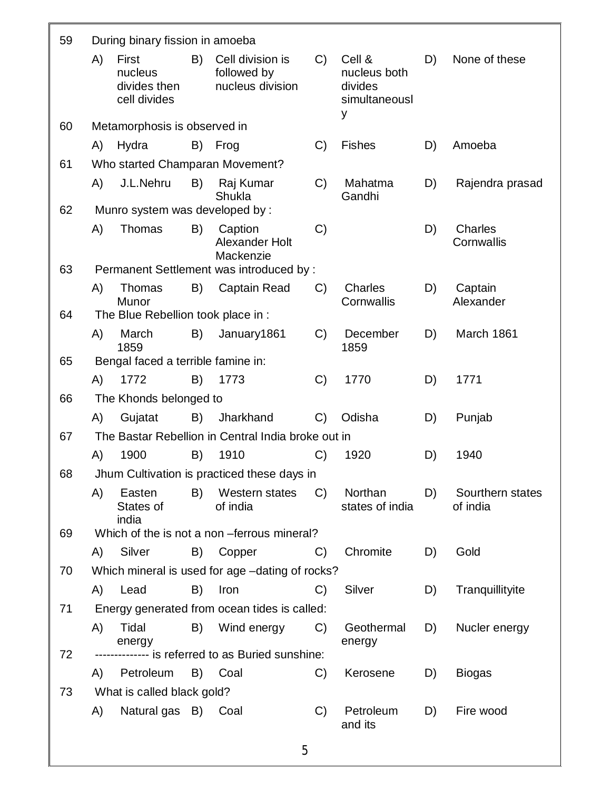| 59 | During binary fission in amoeba |                                                  |    |                                                     |               |                                                         |    |                              |
|----|---------------------------------|--------------------------------------------------|----|-----------------------------------------------------|---------------|---------------------------------------------------------|----|------------------------------|
|    | A)                              | First<br>nucleus<br>divides then<br>cell divides | B) | Cell division is<br>followed by<br>nucleus division | C)            | Cell &<br>nucleus both<br>divides<br>simultaneousl<br>у | D) | None of these                |
| 60 |                                 | Metamorphosis is observed in                     |    |                                                     |               |                                                         |    |                              |
|    | A)                              | Hydra                                            | B) | Frog                                                | C)            | <b>Fishes</b>                                           | D) | Amoeba                       |
| 61 |                                 |                                                  |    | Who started Champaran Movement?                     |               |                                                         |    |                              |
|    | A)                              | J.L.Nehru                                        | B) | Raj Kumar<br>Shukla                                 | C)            | Mahatma<br>Gandhi                                       | D) | Rajendra prasad              |
| 62 |                                 | Munro system was developed by:                   |    |                                                     |               |                                                         |    |                              |
|    | A)                              | Thomas                                           | B) | Caption<br>Alexander Holt<br>Mackenzie              | C)            |                                                         | D) | Charles<br>Cornwallis        |
| 63 |                                 |                                                  |    | Permanent Settlement was introduced by :            |               |                                                         |    |                              |
|    | A)                              | Thomas<br>Munor                                  | B) | <b>Captain Read</b>                                 | $\mathcal{C}$ | <b>Charles</b><br>Cornwallis                            | D) | Captain<br>Alexander         |
| 64 |                                 | The Blue Rebellion took place in :               |    |                                                     |               |                                                         |    |                              |
|    | A)                              | March<br>1859                                    | B) | January1861                                         | C)            | December<br>1859                                        | D) | March 1861                   |
| 65 |                                 | Bengal faced a terrible famine in:               |    |                                                     |               |                                                         |    |                              |
|    | A)                              | 1772                                             | B) | 1773                                                | C)            | 1770                                                    | D) | 1771                         |
| 66 |                                 | The Khonds belonged to                           |    |                                                     |               |                                                         |    |                              |
|    | A)                              | Gujatat                                          | B) | Jharkhand                                           | $\mathcal{C}$ | Odisha                                                  | D) | Punjab                       |
| 67 |                                 |                                                  |    | The Bastar Rebellion in Central India broke out in  |               |                                                         |    |                              |
|    | A)                              | 1900                                             | B) | 1910                                                | $\mathcal{C}$ | 1920                                                    | D) | 1940                         |
| 68 |                                 |                                                  |    | Jhum Cultivation is practiced these days in         |               |                                                         |    |                              |
|    | A)                              | Easten<br>States of<br>india                     | B) | Western states<br>of india                          | $C$ )         | Northan<br>states of india                              | D) | Sourthern states<br>of india |
| 69 |                                 |                                                  |    | Which of the is not a non -ferrous mineral?         |               |                                                         |    |                              |
|    |                                 | A) Silver                                        |    | B) Copper                                           | C)            | Chromite                                                | D) | Gold                         |
| 70 |                                 |                                                  |    | Which mineral is used for age -dating of rocks?     |               |                                                         |    |                              |
|    |                                 | A) Lead                                          | B) | Iron                                                | C)            | Silver                                                  | D) | Tranquillityite              |
| 71 |                                 |                                                  |    | Energy generated from ocean tides is called:        |               |                                                         |    |                              |
|    | A)                              | Tidal<br>energy                                  |    | B) Wind energy                                      | C)            | Geothermal<br>energy                                    | D) | Nucler energy                |
| 72 |                                 |                                                  |    | -------------- is referred to as Buried sunshine:   |               |                                                         |    |                              |
|    |                                 | A) Petroleum                                     |    | B) Coal                                             | C)            | Kerosene                                                | D) | <b>Biogas</b>                |
| 73 |                                 | What is called black gold?                       |    |                                                     |               |                                                         |    |                              |
|    | A)                              | Natural gas B) Coal                              |    |                                                     | C)            | Petroleum<br>and its                                    | D) | Fire wood                    |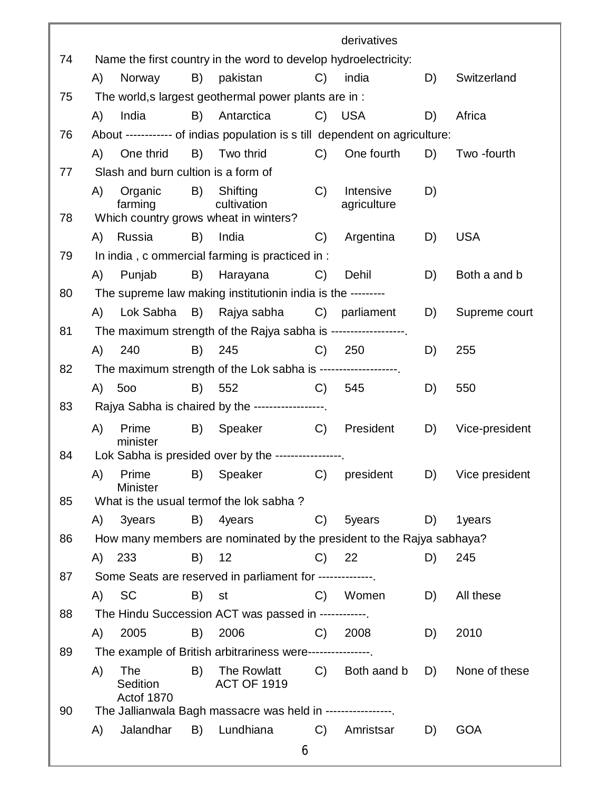|    |                                                                                                                                           |                                      |    |                                                                             |               | derivatives  |    |                |  |
|----|-------------------------------------------------------------------------------------------------------------------------------------------|--------------------------------------|----|-----------------------------------------------------------------------------|---------------|--------------|----|----------------|--|
| 74 |                                                                                                                                           |                                      |    | Name the first country in the word to develop hydroelectricity:             |               |              |    |                |  |
|    | A)                                                                                                                                        | Norway                               | B) | pakistan                                                                    | $C$ )         | india        | D) | Switzerland    |  |
| 75 |                                                                                                                                           |                                      |    | The world, s largest geothermal power plants are in :                       |               |              |    |                |  |
|    | A)                                                                                                                                        | India                                | B) | Antarctica                                                                  |               | C) USA       | D) | Africa         |  |
| 76 |                                                                                                                                           |                                      |    | About ------------ of indias population is s till dependent on agriculture: |               |              |    |                |  |
|    | A)                                                                                                                                        | One thrid                            | B) | Two thrid                                                                   | $C$ )         | One fourth   | D) | Two -fourth    |  |
| 77 |                                                                                                                                           | Slash and burn cultion is a form of  |    |                                                                             |               |              |    |                |  |
| 78 | B)<br>Shifting<br>C<br>Intensive<br>D)<br>A)<br>Organic<br>cultivation<br>farming<br>agriculture<br>Which country grows wheat in winters? |                                      |    |                                                                             |               |              |    |                |  |
|    |                                                                                                                                           | A) Russia                            | B) | India                                                                       | C)            | Argentina    | D) | <b>USA</b>     |  |
|    | In india, c ommercial farming is practiced in :<br>79                                                                                     |                                      |    |                                                                             |               |              |    |                |  |
|    | A)                                                                                                                                        | Punjab                               | B) | Harayana                                                                    | C)            | Dehil        | D) | Both a and b   |  |
| 80 | The supreme law making institutionin india is the ---------                                                                               |                                      |    |                                                                             |               |              |    |                |  |
|    | A)                                                                                                                                        | Lok Sabha                            |    | B) Rajya sabha                                                              | $C$ )         | parliament   | D) | Supreme court  |  |
| 81 | The maximum strength of the Rajya sabha is -------------------                                                                            |                                      |    |                                                                             |               |              |    |                |  |
|    | (A)                                                                                                                                       | 240                                  | B) | 245                                                                         | C)            | 250          | D) | 255            |  |
| 82 | The maximum strength of the Lok sabha is -------------------.                                                                             |                                      |    |                                                                             |               |              |    |                |  |
|    |                                                                                                                                           | A) 500                               | B) | 552                                                                         | $C$ )         | 545          | D) | 550            |  |
| 83 | Rajya Sabha is chaired by the ------------------                                                                                          |                                      |    |                                                                             |               |              |    |                |  |
|    | A)                                                                                                                                        | Prime                                | B) | Speaker                                                                     | C)            | President    | D) | Vice-president |  |
|    |                                                                                                                                           | minister                             |    |                                                                             |               |              |    |                |  |
| 84 |                                                                                                                                           |                                      |    | Lok Sabha is presided over by the -----------------.                        |               |              |    |                |  |
|    |                                                                                                                                           | <b>Minister</b>                      |    | A) Prime B) Speaker C) president D) Vice president                          |               |              |    |                |  |
| 85 |                                                                                                                                           |                                      |    | What is the usual termof the lok sabha?                                     |               |              |    |                |  |
|    | A)                                                                                                                                        | 3years                               | B) | 4years                                                                      | C)            | 5years       | D) | 1years         |  |
| 86 |                                                                                                                                           |                                      |    | How many members are nominated by the president to the Rajya sabhaya?       |               |              |    |                |  |
|    | A)                                                                                                                                        | 233                                  | B) | 12                                                                          | $\mathcal{C}$ | 22           | D) | 245            |  |
| 87 |                                                                                                                                           |                                      |    | Some Seats are reserved in parliament for --------------.                   |               |              |    |                |  |
|    | (A)                                                                                                                                       | <b>SC</b>                            | B) | st                                                                          | C)            | Women        | D) | All these      |  |
| 88 |                                                                                                                                           |                                      |    | The Hindu Succession ACT was passed in ------------.                        |               |              |    |                |  |
|    | (A)                                                                                                                                       | 2005                                 | B) | 2006                                                                        | C             | 2008         | D) | 2010           |  |
| 89 |                                                                                                                                           |                                      |    | The example of British arbitrariness were-----------------                  |               |              |    |                |  |
|    | A)                                                                                                                                        | <b>The</b><br>Sedition<br>Actof 1870 | B) | The Rowlatt<br><b>ACT OF 1919</b>                                           | $C$ )         | Both aand b  | D) | None of these  |  |
| 90 |                                                                                                                                           |                                      |    | The Jallianwala Bagh massacre was held in -----------------.                |               |              |    |                |  |
|    | A)                                                                                                                                        | Jalandhar                            | B) | Lundhiana                                                                   |               | C) Amristsar | D) | <b>GOA</b>     |  |
|    |                                                                                                                                           |                                      |    |                                                                             | 6             |              |    |                |  |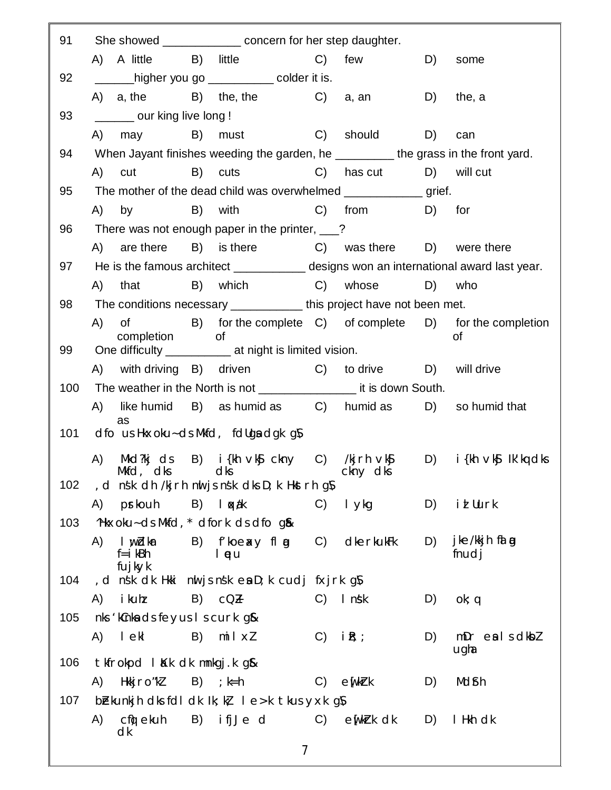| 91  | She showed ________________ concern for her step daughter.                                |                                                    |                                                          |  |  |  |  |  |  |
|-----|-------------------------------------------------------------------------------------------|----------------------------------------------------|----------------------------------------------------------|--|--|--|--|--|--|
|     | A) A little B) little                                                                     | C) few                                             | D)<br>some                                               |  |  |  |  |  |  |
| 92  | _____higher you go ____________colder it is.                                              |                                                    |                                                          |  |  |  |  |  |  |
|     | A) $a,$ the B) the, the C) $a,$ an                                                        |                                                    | D)<br>the, a                                             |  |  |  |  |  |  |
| 93  | ________ our king live long !                                                             |                                                    |                                                          |  |  |  |  |  |  |
|     | must C)<br>A) may B)                                                                      | should                                             | D)<br>can                                                |  |  |  |  |  |  |
| 94  | When Jayant finishes weeding the garden, he __________ the grass in the front yard.       |                                                    |                                                          |  |  |  |  |  |  |
|     | B) cuts<br>A)<br>cut                                                                      | C) has cut D) will cut                             |                                                          |  |  |  |  |  |  |
| 95  |                                                                                           |                                                    |                                                          |  |  |  |  |  |  |
|     | B) with<br>A) by                                                                          | C) from                                            | D) for                                                   |  |  |  |  |  |  |
| 96  | There was not enough paper in the printer, 2                                              |                                                    |                                                          |  |  |  |  |  |  |
|     | A) are there B) is there C) was there D) were there                                       |                                                    |                                                          |  |  |  |  |  |  |
| 97  | He is the famous architect ______________ designs won an international award last year.   |                                                    |                                                          |  |  |  |  |  |  |
|     | A) that B) which C) whose                                                                 |                                                    | D) who                                                   |  |  |  |  |  |  |
| 98  | The conditions necessary ______________ this project have not been met.                   |                                                    |                                                          |  |  |  |  |  |  |
|     | (A)<br>$\circ$ of                                                                         |                                                    | B) for the complete C) of complete D) for the completion |  |  |  |  |  |  |
| 99  | completion<br>0f<br>Οf<br>One difficulty _______________ at night is limited vision.      |                                                    |                                                          |  |  |  |  |  |  |
|     | A) with driving B) driven C) to drive D) will drive                                       |                                                    |                                                          |  |  |  |  |  |  |
| 100 | The weather in the North is not _______________________ it is down South.                 |                                                    |                                                          |  |  |  |  |  |  |
|     | like humid B) as humid as C) humid as D) so humid that<br>A)                              |                                                    |                                                          |  |  |  |  |  |  |
|     | as                                                                                        |                                                    |                                                          |  |  |  |  |  |  |
| 101 | dfo us Hkxoku~ ds Mkfd, fdllga dgk gN                                                     |                                                    |                                                          |  |  |  |  |  |  |
|     | Mkd?kj ds B) i{kh ∨k§ ckny C) /kjrh ∨k§ D) i{kh ∨k§ Ik'kq dks<br>A)                       |                                                    |                                                          |  |  |  |  |  |  |
|     | Mkfd, dks dks dks cknydks<br>102 , d nsk dh /kjrh nuljsnsk dks D; k Hkstrh g $\mathcal N$ |                                                    |                                                          |  |  |  |  |  |  |
|     | A) prkouh<br>B) loxák                                                                     | C) lykg                                            | i <i>l</i> Uurk<br>D)                                    |  |  |  |  |  |  |
| 103 | "Hkxoku- ds Mkfd, * dfork ds dfo q&                                                       |                                                    |                                                          |  |  |  |  |  |  |
|     | B) froexy fl g<br>A)<br>I w Idkar                                                         | dkerkukFk<br>C)                                    | jke/kkjh falog<br>D)                                     |  |  |  |  |  |  |
|     | $f = i$ kBh<br>I pu                                                                       |                                                    | fnudj                                                    |  |  |  |  |  |  |
| 104 | fujkyk<br>d nsk dk Hkki nuljsnsk en D; k cudj fxjrk g N,                                  |                                                    |                                                          |  |  |  |  |  |  |
|     | i kuhz<br>$B)$ $CQ_H$<br>A)                                                               | $C)$ Inst                                          | D)<br>ok; q                                              |  |  |  |  |  |  |
| 105 | nks 'kCnka ds feyus I s curk g&                                                           |                                                    |                                                          |  |  |  |  |  |  |
|     | l ekl<br>B) $mi \mid x$<br>A)                                                             | $C)$ i $R$ ; ;                                     | $mDr$ eals dkbl<br>D)                                    |  |  |  |  |  |  |
|     |                                                                                           |                                                    | ugha                                                     |  |  |  |  |  |  |
| 106 | tkfrokpd likk dk mnkgj.k g&                                                               |                                                    |                                                          |  |  |  |  |  |  |
|     | A) Hkkj ro"kl<br>$B)$ ; $k=h$                                                             | $C)$ $\in$ $\lfloor k \rfloor$ $\lfloor k \rfloor$ | Mdfh<br>D)                                               |  |  |  |  |  |  |
| 107 | be kunkj hdks folldklk; k, le>k tkus yxk g $\mathcal N$<br>B) ifjJed<br>cfi) ekuh<br>A)   | $C)$ en $k$ rk dk                                  | I Hkh dk<br>D)                                           |  |  |  |  |  |  |
|     | dk                                                                                        |                                                    |                                                          |  |  |  |  |  |  |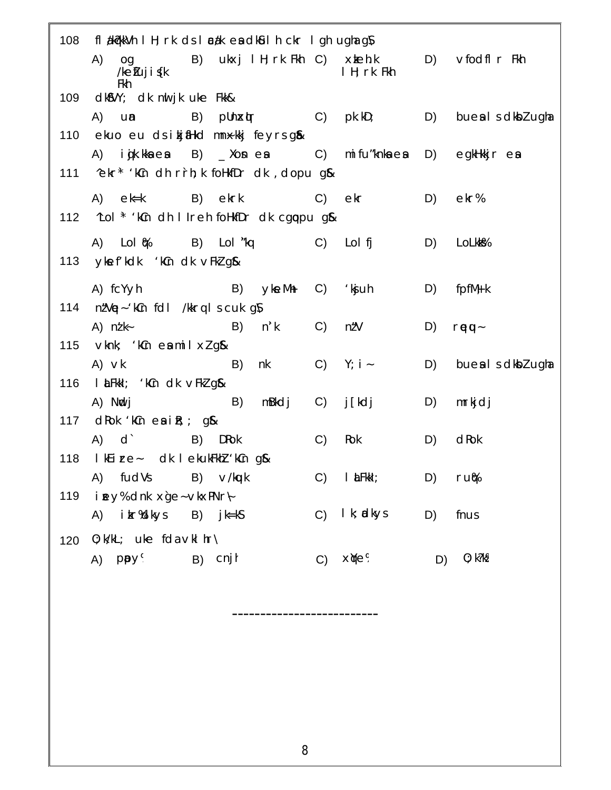|     | 108 fl akerk Vh I H; rk ds I cak en dkul h ckr I gh ugha g N            |                |                         |    |                         |
|-----|-------------------------------------------------------------------------|----------------|-------------------------|----|-------------------------|
|     | (A)<br>og B) ukxj I H; rk Fkh C) xkeh.k<br>$/$ ke $f$ uj i $f$ k<br>Fkh |                | I H; rk Fkh             |    | $D)$ vfodfl $r$ Fkh     |
|     | 109 dk\$VY; dk nut jk uke Fkk&                                          |                |                         |    |                         |
|     | A) un<br>B)<br>$p$ Un $\mathsf{x}$ (r C) $p$ k.kD; D)                   |                |                         |    | bues I s dkbl ugha      |
|     | 110 ekuo eu dsikjiHkd mnxkkj feyrsg&                                    |                |                         |    |                         |
|     | A) igik.kkaea B) _Xonea C) mifu″knkaea                                  |                |                         |    | $D)$ egkHkkj $r$ exp    |
|     | 111 ^ekr* 'kCn dh r`rh; k foHkfDr dk, dopu g&                           |                |                         |    |                         |
|     | A) ek=k B) ekrk                                                         | $\mathsf{C}$ ) | ekr                     | D) | ekr%                    |
|     | 112 ^Lol * 'kCn dh I Ireh foHkfDr dk cgppu g&                           |                |                         |    |                         |
|     | A) Lol() B) Lol <sup>™k</sup> q C) Lolfj                                |                |                         | D) | LoLkk%                  |
|     | 113 ykef kdk kCn dk vFkl g&                                             |                |                         |    |                         |
|     | A) fcYyh<br>$\overline{B}$ (B)<br><b>ykeMh</b>                          |                | $C)$ 'kg $uh$           | D) | $f$ pfM $\frac{1}{2}$ k |
|     | 114 n'Up-'kCn foll /kkrq I s cuk gN                                     |                |                         |    |                         |
|     | A) $n/k$<br>n' k<br>B)                                                  | C)             | n/'V                    | D) | reu-                    |
|     | 115 $\vee$ knk; 'kCn en mil xl gl&                                      |                |                         |    |                         |
|     | $A)$ $\vee$ k<br>B)<br>nk                                               |                | $C)$ Y; i -             | D) | bues I s dkbl ugha      |
|     | 116 I Lu Fikkl; 'kCn dk v Fkl gl&                                       |                |                         |    |                         |
|     | B)<br>mBkdj<br>A) Nidj                                                  | $\mathsf{C}$ ) | j [kdj                  | D) | mrkjdj                  |
|     | 117 $\alpha$ Rok 'k $cn$ $\alpha$ i $R$ ; ; $q$ &                       |                |                         |    |                         |
|     | A) d<br>B) DRok                                                         | C)             | Rok                     | D) | $dR$ ok                 |
|     | 118 I kEire- dk I ekukFkhl 'kCn g&                                      |                |                         |    |                         |
|     | A) fudVs B) v/kuk                                                       |                | $C)$ $l$ $\angle$ Fkkl; | D) | ru‰                     |
|     | 119 i mey% dnk xge-vkxPNr-                                              |                |                         |    |                         |
|     | A) i kr%dkys B) j k=kS                                                  |                | $C)$ I k; adkys         | D) | fnus                    |
|     |                                                                         |                |                         |    |                         |
| 120 | $0; k/kL;$ uke fda vkl $hr\Lambda$                                      |                |                         |    |                         |
|     | A) ppy <sup>9</sup> B) cnjh                                             | C)             | x≬e%                    | D) | 0; k?k%                 |

----------------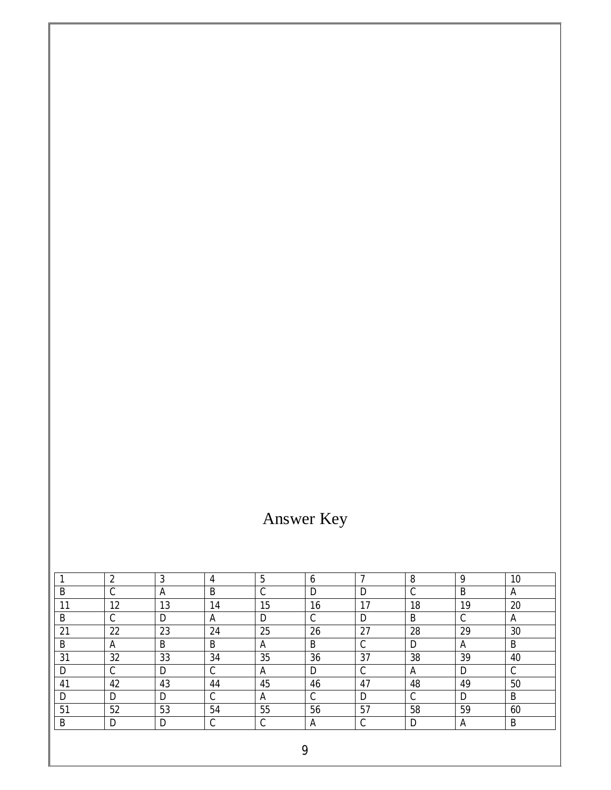## Answer Key

|    | 2           | 3  | 4      | 5           | 6  |             | 8           | 9           | 10 |
|----|-------------|----|--------|-------------|----|-------------|-------------|-------------|----|
| B  | $\sim$<br>◡ | A  | B      | $\sim$<br>◡ | D  | D           | $\sim$<br>◡ | B           | A  |
| 11 | 12          | 13 | 14     | 15          | 16 | 17          | 18          | 19          | 20 |
| B  | $\sim$<br>◡ | D  | A      | D           | C  | D           | B           | $\cap$<br>◡ | A  |
| 21 | 22          | 23 | 24     | 25          | 26 | 27          | 28          | 29          | 30 |
| B  | A           | B  | B      | A           | B  | $\sim$<br>◡ | D           | A           | B  |
| 31 | 32          | 33 | 34     | 35          | 36 | 37          | 38          | 39          | 40 |
| D  | $\cap$<br>◡ | D  | C      | A           | D  | $\sim$<br>◡ | A           | D           | C  |
| 41 | 42          | 43 | 44     | 45          | 46 | 47          | 48          | 49          | 50 |
| D  | D           | D  | С      | A           | C  | D           | $\sim$<br>◡ | D           | B  |
| 51 | 52          | 53 | 54     | 55          | 56 | 57          | 58          | 59          | 60 |
| B  | D           | D  | ◠<br>U | ◠<br>◡      | A  | $\sim$<br>◡ | D           | A           | B  |